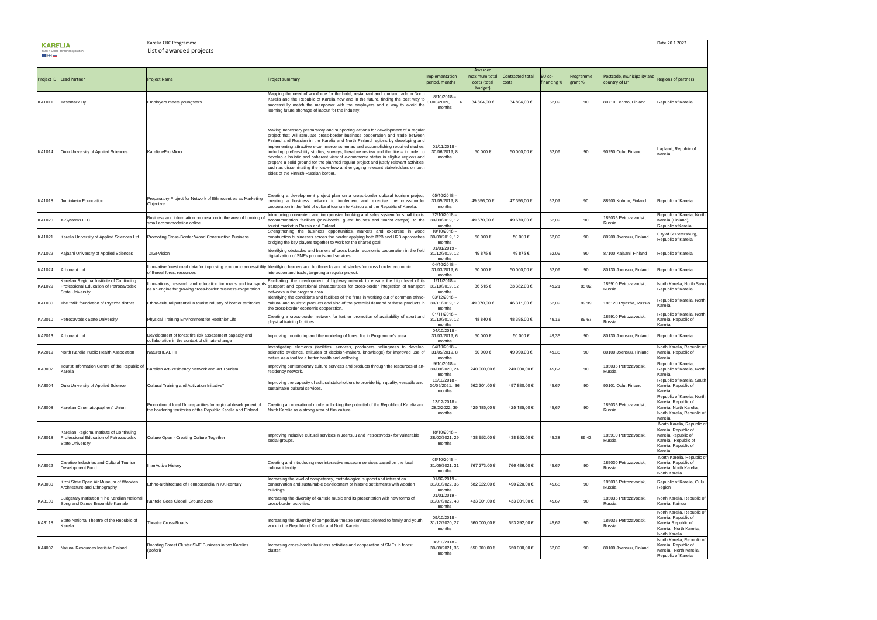

## Karelia CBC Programme Date:20.1.2022 List of awarded projects

|        | Project ID   Lead Partner                                                                                      | <b>Project Name</b>                                                                                                             | <b>Project summary</b>                                                                                                                                                                                                                                                                                                                                                                                                                                                                                                                                                                                                                                                                                                                    | Implementation<br>period, months           | Awarded<br>maximum total<br>costs (total<br>budget) | Contracted total<br>costs | EU co-<br>financing % | Programme<br>grant % | Postcode, municipality and<br>country of LP | <b>Regions of partners</b>                                                                                                            |
|--------|----------------------------------------------------------------------------------------------------------------|---------------------------------------------------------------------------------------------------------------------------------|-------------------------------------------------------------------------------------------------------------------------------------------------------------------------------------------------------------------------------------------------------------------------------------------------------------------------------------------------------------------------------------------------------------------------------------------------------------------------------------------------------------------------------------------------------------------------------------------------------------------------------------------------------------------------------------------------------------------------------------------|--------------------------------------------|-----------------------------------------------------|---------------------------|-----------------------|----------------------|---------------------------------------------|---------------------------------------------------------------------------------------------------------------------------------------|
| KA1011 | Tasemark Oy                                                                                                    | Employers meets youngsters                                                                                                      | Mapping the need of workforce for the hotel, restaurant and tourism trade in North<br>Karelia and the Republic of Karelia now and in the future, finding the best way to<br>successfully match the manpower with the employers and a way to avoid the<br>looming future shortage of labour for the industry.                                                                                                                                                                                                                                                                                                                                                                                                                              | $8/10/2018 -$<br>31/03/2019,<br>months     | 34 804,00 €                                         | 34 804,00 €               | 52,09                 | 90                   | 80710 Lehmo, Finland                        | Republic of Karelia                                                                                                                   |
| KA1014 | Oulu University of Applied Sciences                                                                            | Karelia ePro Micro                                                                                                              | Making necessary preparatory and supporting actions for development of a regular<br>project that will stimulate cross-border business cooperation and trade between<br>Finland and Russian in the Karelia and North Finland regions by developing and<br>implementing attractive e-commerce schemas and accomplishing required studies<br>including prefeasibility studies, surveys, literature review and the like - in order to<br>develop a holistic and coherent view of e-commerce status in eligible regions and<br>prepare a solid ground for the planned regular project and justify relevant activities<br>such as disseminating the know-how and engaging relevant stakeholders on both<br>sides of the Finnish-Russian border. | 01/11/2018 -<br>30/06/2019, 8<br>months    | 50 000 €                                            | 50 000,00 €               | 52,09                 | 90                   | 90250 Oulu, Finland                         | Lapland, Republic of<br>Karelia                                                                                                       |
| KA1018 | Juminkeko Foundation                                                                                           | Preparatory Project for Network of Ethnocentres as Marketing<br>Objective                                                       | Creating a development project plan on a cross-border cultural tourism project<br>creating a business network to implement and exercise the cross-border<br>cooperation in the field of cultural tourism to Kainuu and the Republic of Karelia.                                                                                                                                                                                                                                                                                                                                                                                                                                                                                           | $05/10/2018 -$<br>31/05/2019, 8<br>months  | 49 396,00 €                                         | 47 396,00 €               | 52,09                 | 90                   | 88900 Kuhmo, Finland                        | Republic of Karelia                                                                                                                   |
| KA1020 | X-Systems LLC                                                                                                  | Business and information cooperation in the area of booking of<br>small accommodation online                                    | Introducing convenient and inexpensive booking and sales system for small touris<br>accommodation facilities (mini-hotels, guest houses and tourist camps) to the<br>Itourist market in Russia and Finland.                                                                                                                                                                                                                                                                                                                                                                                                                                                                                                                               | $22/10/2018 -$<br>30/09/2019, 12<br>months | 49 670,00 €                                         | 49 670,00 €               | 52,09                 | 90                   | 185035 Petrozavodsk,<br>Russia              | Republic of Karelia, North<br>Karelia (Finland),<br>Republic ofKarelia                                                                |
| KA1021 | Karelia University of Applied Sciences Ltd.                                                                    | Promoting Cross-Border Wood Construction Business                                                                               | Strengthening the business opportunities, markets and expertise in wood<br>construction businesses across the border applying both B2B and U2B approaches<br>bridging the key players together to work for the shared goal.                                                                                                                                                                                                                                                                                                                                                                                                                                                                                                               | $10/10/2018 -$<br>30/09/2019, 12<br>months | 50 000 €                                            | 50 000 €                  | 52,09                 | 90                   | 80200 Joensuu, Finland                      | City of St Petersburg,<br>Republic of Karelia                                                                                         |
|        | KA1022   Kajaani University of Applied Sciences                                                                | DIGI-Vision                                                                                                                     | Identifying obstacles and barriers of cross border economic cooperation in the field<br>digitalization of SMEs products and services.                                                                                                                                                                                                                                                                                                                                                                                                                                                                                                                                                                                                     | 01/01/2019 -<br>31/12/2019, 12<br>months   | 49 875 €                                            | 49 875 €                  | 52,09                 | 90                   | 87100 Kajaani, Finland                      | Republic of Karelia                                                                                                                   |
| KA1024 | Arbonaut Ltd                                                                                                   | of Boreal forest resources                                                                                                      | Innovative forest road data for improving economic accessibility Identifying barriers and bottlenecks and obstacles for cross border economic<br>interaction and trade, targeting a regular project.                                                                                                                                                                                                                                                                                                                                                                                                                                                                                                                                      | $04/10/2018 -$<br>31/03/2019, 6<br>months  | 50 000 €                                            | 50 000,00 €               | 52,09                 | 90                   | 80130 Joensuu, Finland                      | Republic of Karelia                                                                                                                   |
| KA1029 | Karelian Regional Institute of Continuing<br>Professional Education of Petrozavodsk<br><b>State University</b> | Innovations, research and education for roads and transport<br>as an engine for growing cross-border business cooperation       | Facilitating the development of highway network to ensure the high level of its<br>transport and operational characteristics for cross-border integration of transpor<br>networks in the program area.                                                                                                                                                                                                                                                                                                                                                                                                                                                                                                                                    | $1/11/2018 -$<br>31/10/2019, 12<br>months  | 36 515 €                                            | 33 382,00 €               | 49,21                 | 85,02                | 185910 Petrozavodsk,<br>Russia              | North Karelia, North Savo,<br>Republic of Karelia                                                                                     |
| KA1030 | The "Mill" foundation of Pryazha district                                                                      | Ethno-cultural potential in tourist industry of border territories                                                              | Identifying the conditions and facilities of the firms in working out of common ethno<br>cultural and touristic products and also of the potential demand of these products i<br>the cross-border economic cooperation.                                                                                                                                                                                                                                                                                                                                                                                                                                                                                                                   | $03/12/2018 -$<br>30/11/2019, 12<br>months | 49 070,00 €                                         | 46 311,00 €               | 52,09                 | 89,99                | 186120 Pryazha, Russia                      | Republic of Karelia, North<br>Karelia                                                                                                 |
| KA2010 | Petrozavodsk State University                                                                                  | Physical Training Environment for Healthier Life                                                                                | Creating a cross-border network for further promotion of availability of sport and<br>physical training facilities.                                                                                                                                                                                                                                                                                                                                                                                                                                                                                                                                                                                                                       | $01/11/2018 -$<br>31/10/2019, 12<br>months | 48 840 €                                            | 48 395,00 €               | 49,16                 | 89,67                | 185910 Petrozavodsk,<br>Russia              | Republic of Karelia, North<br>Karelia, Republic of<br>Karelia                                                                         |
| KA2013 | Arbonaut Ltd                                                                                                   | Development of forest fire risk assessment capacity and<br>collaboration in the context of climate change                       | Improving monitoring and the modeling of forest fire in Programme's area                                                                                                                                                                                                                                                                                                                                                                                                                                                                                                                                                                                                                                                                  | 04/10/2018 -<br>31/03/2019, 6<br>months    | 50 000 €                                            | 50 000 €                  | 49,35                 | 90                   | 80130 Joensuu, Finland                      | Republic of Karelia                                                                                                                   |
| KA2019 | <b>North Karelia Public Health Association</b>                                                                 | NatureHEALTH                                                                                                                    | Investigating elements (facilities, services, producers, willingness to develop<br>scientific evidence, attitudes of decision-makers, knowledge) for improved use<br>nature as a tool for a better health and wellbeing.                                                                                                                                                                                                                                                                                                                                                                                                                                                                                                                  | $04/10/2018 -$<br>31/05/2019, 8<br>months  | 50 000 €                                            | 49 990,00 €               | 49,35                 | 90                   | 80100 Joensuu, Finland                      | North Karelia, Republic of<br>Karelia, Republic of<br>Karelia                                                                         |
| KA3002 | Tourist Information Centre of the Republic of<br>Karelia                                                       | Karelian Art-Residency Network and Art Tourism                                                                                  | Improving contemporary culture services and products through the resources of art<br>residency network.                                                                                                                                                                                                                                                                                                                                                                                                                                                                                                                                                                                                                                   | $9/10/2018 -$<br>30/09/2020, 24<br>months  | 240 000,00 €                                        | 240 000,00 €              | 45,67                 | 90                   | 185035 Petrozavodsk,<br>Russia              | Republic of Karelia,<br>Republic of Karelia, North<br>Karelia                                                                         |
| KA3004 | Oulu University of Applied Science                                                                             | Cultural Training and Activation Initiative"                                                                                    | Improving the capacity of cultural stakeholders to provide high quality, versatile and<br>sustainable cultural services.                                                                                                                                                                                                                                                                                                                                                                                                                                                                                                                                                                                                                  | 12/10/2018 -<br>30/09/2021, 36<br>months   | 562 301,00 €                                        | 497 880,00 €              | 45,67                 | 90                   | 90101 Oulu, Finland                         | Republic of Karelia, South<br>Karelia, Republic of<br>Karelia                                                                         |
| KA3008 | Karelian Cinematographers' Union                                                                               | Promotion of local film capacities for regional development of<br>the bordering territories of the Republic Karelia and Finland | Creating an operational model unlocking the potential of the Republic of Karelia and<br>North Karelia as a strong area of film culture.                                                                                                                                                                                                                                                                                                                                                                                                                                                                                                                                                                                                   | 13/12/2018 -<br>28/2/2022, 39<br>months    | 425 185,00 €                                        | 425 185,00 €              | 45,67                 | 90                   | 185035 Petrozavodsk,<br>Russia              | Republic of Karelia, North<br>Karelia, Republic of<br>Karelia, North Karelia,<br>North Karelia, Republic of<br>Karelia                |
| KA3018 | Karelian Regional Institute of Continuing<br>Professional Education of Petrozavodsk<br><b>State University</b> | Culture Open - Creating Culture Together                                                                                        | Improving inclusive cultural services in Joensuu and Petrozavodsk for vulnerable<br>social groups.                                                                                                                                                                                                                                                                                                                                                                                                                                                                                                                                                                                                                                        | $18/10/2018 -$<br>28/02/2021, 29<br>months | 438 952,00 €                                        | 438 952,00 €              | 45,38                 | 89,43                | 185910 Petrozavodsk<br>Russia               | North Karelia, Republic of<br>Karelia, Republic of<br>Karelia, Republic of<br>Karelia, Republic of<br>Karelia, Republic of<br>Karelia |
| KA3022 | Creative Industries and Cultural Tourism<br>Development Fund                                                   | InterActive History                                                                                                             | Creating and introducing new interactive museum services based on the local<br>cultural identity.                                                                                                                                                                                                                                                                                                                                                                                                                                                                                                                                                                                                                                         | 08/10/2018-<br>31/05/2021, 31<br>months    | 767 273,00 €                                        | 766 486,00 €              | 45,67                 | 90                   | 185030 Petrozavodsk,<br>Russia              | North Karelia, Republic of<br>Karelia, Republic of<br>Karelia, North Karelia,<br>North Karelia                                        |
| KA3030 | Kizhi State Open Air Museum of Wooden<br>Architecture and Ethnography                                          | Ethno-architecture of Fennoscandia in XXI century                                                                               | Increasing the level of competency, methdological support and interest on<br>conservation and sustainable development of historic settlements with wooden<br>buildings.                                                                                                                                                                                                                                                                                                                                                                                                                                                                                                                                                                   | 01/02/2019 -<br>31/01/2022, 36<br>months   | 582 022,00 €                                        | 490 220,00 €              | 45,68                 | 90                   | 185035 Petrozavodsk,<br>Russia              | Republic of Karelia, Oulu<br>Region                                                                                                   |
| KA3100 | Budgetary Institution "The Karelian National<br>Song and Dance Ensemble Kantele                                | Kantele Goes Global! Ground Zero                                                                                                | Increasing the diversity of kantele music and its presentation with new forms of<br>cross-border activities.                                                                                                                                                                                                                                                                                                                                                                                                                                                                                                                                                                                                                              | 01/01/2019 -<br>31/07/2022, 43<br>months   | 433 001,00 €                                        | 433 001,00 €              | 45,67                 | 90                   | 185035 Petrozavodsk,<br>Russia              | North Karelia, Republic of<br>Karelia, Kainuu                                                                                         |
| KA3118 | State National Theatre of the Republic of<br>Karelia                                                           | <b>Theatre Cross-Roads</b>                                                                                                      | Increasing the diversity of competitive theatre services oriented to family and youth<br>work in the Republic of Karelia and North Karelia.                                                                                                                                                                                                                                                                                                                                                                                                                                                                                                                                                                                               | 09/10/2018 -<br>31/12/2020, 27<br>months   | 660 000,00 €                                        | 653 292,00 €              | 45,67                 | 90                   | 185035 Petrozavodsk,<br>Russia              | North Karelia, Republic of<br>Karelia, Republic of<br>Karelia, Republic of<br>Karelia, North Karelia,<br>North Karelia                |
| KA4002 | Natural Resources Institute Finland                                                                            | Boosting Forest Cluster SME Business in two Karelias<br>(Bofori)                                                                | Increasing cross-border business activities and cooperation of SMEs in forest<br>cluster.                                                                                                                                                                                                                                                                                                                                                                                                                                                                                                                                                                                                                                                 | 08/10/2018 -<br>30/09/2021, 36<br>months   | 650 000,00 €                                        | 650 000,00 €              | 52,09                 | 90                   | 80100 Joensuu, Finland                      | North Karelia, Republic of<br>Karelia, Republic of<br>Karelia, North Karelia,<br>Republic of Karelia                                  |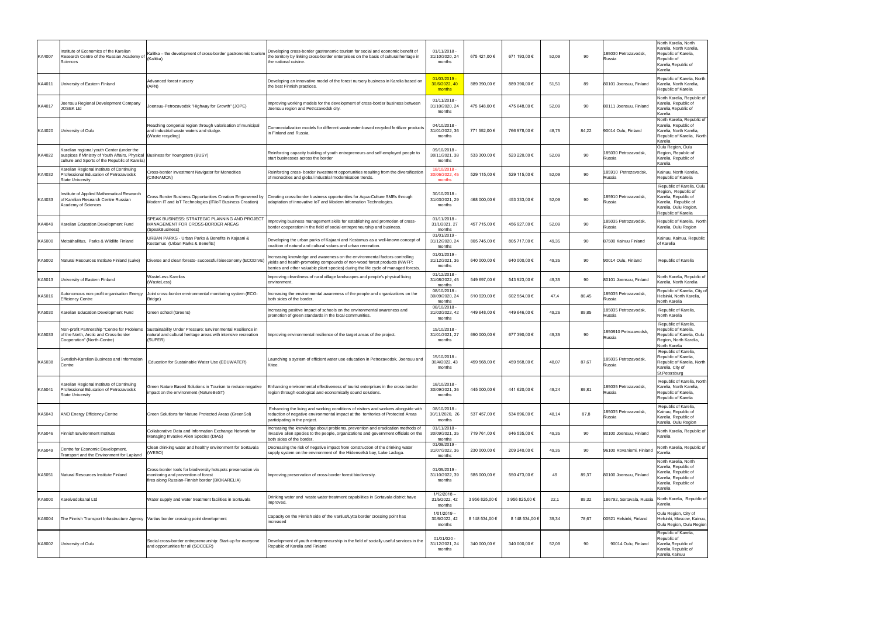| Institute of Economics of the Karelian                                                                              |                                                                                                   |                                                                                                                                                                                                                                                                                                                                                                                                                                                                                                                                                                                                                                                                                                                                                                                                                                                                                                                                                                                                                                                                                                                                                                                                                                                                                                                           | 01/11/2018<br>31/10/2020, 24<br>months                                                                                                                                                                                                                                                                                                                                                                                                                                                                                                                                                                                                                                                                                                                                                                                                                                                                                                                                                                                                                                                                                                       | 675 421,00 €   | 671 193,00 €   | 52,09 |       | 185030 Petrozavodsk<br>Russia         | North Karelia, North<br>Karelia, North Karelia,<br>Republic of Karelia,<br>Republic of<br>Karelia, Republic of<br>Karelia                        |
|---------------------------------------------------------------------------------------------------------------------|---------------------------------------------------------------------------------------------------|---------------------------------------------------------------------------------------------------------------------------------------------------------------------------------------------------------------------------------------------------------------------------------------------------------------------------------------------------------------------------------------------------------------------------------------------------------------------------------------------------------------------------------------------------------------------------------------------------------------------------------------------------------------------------------------------------------------------------------------------------------------------------------------------------------------------------------------------------------------------------------------------------------------------------------------------------------------------------------------------------------------------------------------------------------------------------------------------------------------------------------------------------------------------------------------------------------------------------------------------------------------------------------------------------------------------------|----------------------------------------------------------------------------------------------------------------------------------------------------------------------------------------------------------------------------------------------------------------------------------------------------------------------------------------------------------------------------------------------------------------------------------------------------------------------------------------------------------------------------------------------------------------------------------------------------------------------------------------------------------------------------------------------------------------------------------------------------------------------------------------------------------------------------------------------------------------------------------------------------------------------------------------------------------------------------------------------------------------------------------------------------------------------------------------------------------------------------------------------|----------------|----------------|-------|-------|---------------------------------------|--------------------------------------------------------------------------------------------------------------------------------------------------|
| University of Eastern Finland                                                                                       | (AFN)                                                                                             | Developing an innovative model of the forest nursery business in Karelia based on                                                                                                                                                                                                                                                                                                                                                                                                                                                                                                                                                                                                                                                                                                                                                                                                                                                                                                                                                                                                                                                                                                                                                                                                                                         | 01/03/2019<br>30/6/2022, 40<br>months                                                                                                                                                                                                                                                                                                                                                                                                                                                                                                                                                                                                                                                                                                                                                                                                                                                                                                                                                                                                                                                                                                        | 889 390,00 €   | 889 390,00 €   | 51,51 |       | 80101 Joensuu, Finland                | Republic of Karelia, North<br>Karelia, North Karelia.<br>Republic of Karelia                                                                     |
| Joensuu Regional Development Company                                                                                | Joensuu-Petrozavodsk "Highway for Growth" (JOPE)                                                  | Improving working models for the development of cross-border business between<br>Joensuu region and Petrozavodsk city.                                                                                                                                                                                                                                                                                                                                                                                                                                                                                                                                                                                                                                                                                                                                                                                                                                                                                                                                                                                                                                                                                                                                                                                                    | 01/11/2018<br>31/10/2020, 24<br>months                                                                                                                                                                                                                                                                                                                                                                                                                                                                                                                                                                                                                                                                                                                                                                                                                                                                                                                                                                                                                                                                                                       | 475 648,00 €   | 475 648,00 €   | 52,09 | 90    | 80111 Joensuu, Finland                | North Karelia, Republic of<br>Karelia, Republic of<br>Karelia, Republic of<br>Karelia                                                            |
| University of Oulu                                                                                                  |                                                                                                   | Commecialization models for different wastewater-based recycled fertilizer products<br>in Finland and Russia.                                                                                                                                                                                                                                                                                                                                                                                                                                                                                                                                                                                                                                                                                                                                                                                                                                                                                                                                                                                                                                                                                                                                                                                                             | 04/10/2018<br>31/01/2022, 36<br>months                                                                                                                                                                                                                                                                                                                                                                                                                                                                                                                                                                                                                                                                                                                                                                                                                                                                                                                                                                                                                                                                                                       | 771 552,00 €   | 766 978,00 €   | 48,75 | 84,22 | 90014 Oulu, Finland                   | North Karelia, Republic of<br>Karelia, Republic of<br>Karelia. North Karelia.<br>Republic of Karelia, North<br>Karelia                           |
| Karelian regional youth Center (under the<br>culture and Sports of the Republic of Karelia)                         |                                                                                                   | start businesses across the border                                                                                                                                                                                                                                                                                                                                                                                                                                                                                                                                                                                                                                                                                                                                                                                                                                                                                                                                                                                                                                                                                                                                                                                                                                                                                        | 09/10/2018<br>30/11/2021, 38<br>months                                                                                                                                                                                                                                                                                                                                                                                                                                                                                                                                                                                                                                                                                                                                                                                                                                                                                                                                                                                                                                                                                                       | 533 300,00 €   | 523 220,00 €   | 52,09 | 90    | 185030 Petrozavodsk<br>Russia         | Oulu Region, Oulu<br>Region, Republic of<br>Karelia, Republic of<br>Karelia                                                                      |
| Karelian Regional Institute of Continuing<br>Professional Education of Petrozavodsk<br><b>State University</b>      | <b>Cross-border Investment Navigator for Monocities</b>                                           |                                                                                                                                                                                                                                                                                                                                                                                                                                                                                                                                                                                                                                                                                                                                                                                                                                                                                                                                                                                                                                                                                                                                                                                                                                                                                                                           | 18/10/2018<br>30/06/2022, 45<br>months                                                                                                                                                                                                                                                                                                                                                                                                                                                                                                                                                                                                                                                                                                                                                                                                                                                                                                                                                                                                                                                                                                       | 529 115,00 €   | 529 115,00 €   | 52,09 | 90    | 185910 Petrozavodsk<br>Russia         | Kainuu, North Karelia,<br>Republic of Karelia                                                                                                    |
| Institute of Applied Mathematical Research<br>of Karelian Research Centre Russian<br>Academy of Sciences            |                                                                                                   |                                                                                                                                                                                                                                                                                                                                                                                                                                                                                                                                                                                                                                                                                                                                                                                                                                                                                                                                                                                                                                                                                                                                                                                                                                                                                                                           | 30/10/2018<br>31/03/2021, 29<br>months                                                                                                                                                                                                                                                                                                                                                                                                                                                                                                                                                                                                                                                                                                                                                                                                                                                                                                                                                                                                                                                                                                       | 468 000,00 €   | 453 333,00 €   | 52,09 | 90    | 185910 Petrozavodsk<br>Russia         | Republic of Karelia, Oulu<br>Region, Republic of<br>Karelia, Republic of<br>Karelia, Republic of<br>Karelia, Oulu Region,<br>Republic of Karelia |
| Karelian Education Development Fund                                                                                 |                                                                                                   | Improving business management skills for establishing and promotion of cross-<br>border cooperation in the field of social entrepreneurship and business.                                                                                                                                                                                                                                                                                                                                                                                                                                                                                                                                                                                                                                                                                                                                                                                                                                                                                                                                                                                                                                                                                                                                                                 | 01/11/2018<br>31/1/2021, 27<br>months                                                                                                                                                                                                                                                                                                                                                                                                                                                                                                                                                                                                                                                                                                                                                                                                                                                                                                                                                                                                                                                                                                        | 457 715,00 €   | 456 927,00 €   | 52.09 | 90    | 185035 Petrozavodsk,<br><b>RUSSIA</b> | Republic of Karelia, North<br>Karelia, Oulu Region                                                                                               |
| Metsähallitus, Parks & Wildlife Finland                                                                             | URBAN PARKS - Urban Parks & Benefits in Kajaani &                                                 | Developing the urban parks of Kajaani and Kostamus as a well-known concept of                                                                                                                                                                                                                                                                                                                                                                                                                                                                                                                                                                                                                                                                                                                                                                                                                                                                                                                                                                                                                                                                                                                                                                                                                                             | 01/01/2019 -<br>31/12/2020, 24<br>months                                                                                                                                                                                                                                                                                                                                                                                                                                                                                                                                                                                                                                                                                                                                                                                                                                                                                                                                                                                                                                                                                                     | 805 745,00 €   | 805 717,00 €   | 49,35 |       | 87500 Kainuu Finland                  | Kainuu, Kainuu, Republic<br>of Karelia                                                                                                           |
| Natural Resources Institute Finland (Luke)                                                                          | Diverse and clean forests- successful bioeconomy (ECODIVE)                                        | Increasing knowledge and awareness on the environmental factors controlling<br>yields and health-promoting compounds of non-wood forest products (NWFP;<br>berries and other valuable plant species) during the life cycle of managed forests.                                                                                                                                                                                                                                                                                                                                                                                                                                                                                                                                                                                                                                                                                                                                                                                                                                                                                                                                                                                                                                                                            | 01/01/2019 -<br>31/12/2021, 36<br>months                                                                                                                                                                                                                                                                                                                                                                                                                                                                                                                                                                                                                                                                                                                                                                                                                                                                                                                                                                                                                                                                                                     | 640 000,00 €   | 640 000,00 €   | 49,35 |       | 90014 Oulu, Finland                   | <b>Republic of Karelia</b>                                                                                                                       |
| Jniversity of Eastern Finland                                                                                       | <b>WasteLess Karelias</b><br>(WasteLess)                                                          | Improving cleanliness of rural village landscapes and people's physical living<br>environment.                                                                                                                                                                                                                                                                                                                                                                                                                                                                                                                                                                                                                                                                                                                                                                                                                                                                                                                                                                                                                                                                                                                                                                                                                            | 01/12/2018<br>31/08/2022, 45<br>months                                                                                                                                                                                                                                                                                                                                                                                                                                                                                                                                                                                                                                                                                                                                                                                                                                                                                                                                                                                                                                                                                                       | 549 697,00 €   | 543 923,00 €   | 49,35 |       | 80101 Joensuu, Finland                | North Karelia, Republic of<br>Karelia, North Karelia                                                                                             |
| Autonomous non-profit organisation Energy<br><b>Efficiency Centre</b>                                               | Joint cross-border environmental monitoring system (ECO-                                          | Increasing the environmental awareness of the people and organizations on the                                                                                                                                                                                                                                                                                                                                                                                                                                                                                                                                                                                                                                                                                                                                                                                                                                                                                                                                                                                                                                                                                                                                                                                                                                             | 08/10/2018<br>30/09/2020, 24<br>months                                                                                                                                                                                                                                                                                                                                                                                                                                                                                                                                                                                                                                                                                                                                                                                                                                                                                                                                                                                                                                                                                                       | 610 920,00 €   | 602 554,00 €   | 47.4  | 86,45 | 185035 Petrozavodsk<br>Russia         | Republic of Karelia, City of<br>Helsinki, North Karelia,<br>North Karelia                                                                        |
| Karelian Education Development Fund                                                                                 |                                                                                                   | Increasing positive impact of schools on the environmental awareness and                                                                                                                                                                                                                                                                                                                                                                                                                                                                                                                                                                                                                                                                                                                                                                                                                                                                                                                                                                                                                                                                                                                                                                                                                                                  | 08/10/2018<br>31/03/2022, 42<br>months                                                                                                                                                                                                                                                                                                                                                                                                                                                                                                                                                                                                                                                                                                                                                                                                                                                                                                                                                                                                                                                                                                       | 449 648,00 €   | 449 646,00 €   | 49,26 | 89,85 | 185035 Petrozavodsk<br>Russia         | Republic of Karelia,<br>North Karelia                                                                                                            |
| Non-profit Partnership "Centre for Problems<br>of the North, Arctic and Cross-border<br>Cooperation" (North-Centre) | natural and cultural heritage areas with intensive recreation                                     | Improving environmental resilience of the target areas of the project.                                                                                                                                                                                                                                                                                                                                                                                                                                                                                                                                                                                                                                                                                                                                                                                                                                                                                                                                                                                                                                                                                                                                                                                                                                                    | 15/10/2018<br>31/01/2021, 27<br>months                                                                                                                                                                                                                                                                                                                                                                                                                                                                                                                                                                                                                                                                                                                                                                                                                                                                                                                                                                                                                                                                                                       | 690 000,00 €   | 677 390,00 €   | 49,35 | 90    | 1850910 Petrozavodsk<br>Russia        | Republic of Karelia,<br>Republic of Karelia,<br>Republic of Karelia, Oulu<br>Region, North Karelia,<br>North Karelia                             |
| Swedish-Karelian Business and Information                                                                           | Education for Sustainable Water Use (EDUWATER)                                                    | Launching a system of efficient water use education in Petrozavodsk, Joensuu and                                                                                                                                                                                                                                                                                                                                                                                                                                                                                                                                                                                                                                                                                                                                                                                                                                                                                                                                                                                                                                                                                                                                                                                                                                          | 15/10/2018 -<br>30/4/2022, 43<br>months                                                                                                                                                                                                                                                                                                                                                                                                                                                                                                                                                                                                                                                                                                                                                                                                                                                                                                                                                                                                                                                                                                      | 459 568,00 €   | 459 568,00 €   | 48,07 | 87,67 | 185035 Petrozavodsk<br>Russia         | Republic of Karelia,<br>Republic of Karelia,<br>Republic of Karelia, North<br>Karelia, City of<br>St.Petersburg                                  |
| Karelian Regional Institute of Continuing<br>Professional Education of Petrozavodsk<br><b>State University</b>      | impact on the environment (NatureBeST)                                                            | Enhancing environmental effectiveness of tourist enterprises in the cross-border                                                                                                                                                                                                                                                                                                                                                                                                                                                                                                                                                                                                                                                                                                                                                                                                                                                                                                                                                                                                                                                                                                                                                                                                                                          | 18/10/2018<br>30/09/2021, 36<br>months                                                                                                                                                                                                                                                                                                                                                                                                                                                                                                                                                                                                                                                                                                                                                                                                                                                                                                                                                                                                                                                                                                       | 445 000,00 €   | 441 620,00 €   | 49,24 | 89,81 | 185035 Petrozavodsk<br>Russia         | Republic of Karelia, North<br>Karelia, North Karelia,<br>Republic of Karelia,<br>Republic of Karelia                                             |
| <b>ANO Energy Efficiency Centre</b>                                                                                 |                                                                                                   | Enhancing the living and working conditions of visitors and workers alongside with                                                                                                                                                                                                                                                                                                                                                                                                                                                                                                                                                                                                                                                                                                                                                                                                                                                                                                                                                                                                                                                                                                                                                                                                                                        | 08/10/2018<br>30/11/2020, 26<br>months                                                                                                                                                                                                                                                                                                                                                                                                                                                                                                                                                                                                                                                                                                                                                                                                                                                                                                                                                                                                                                                                                                       | 537 457,00 €   | 534 896,00 €   | 48,14 | 87,8  | 185035 Petrozavodsk<br>Russia         | Republic of Karelia,<br>Kainuu, Republic of<br>Karelia, Republic of<br>Karelia, Oulu Region                                                      |
| <b>Finnish Environment Institute</b>                                                                                | Collaborative Data and Information Exchange Network for<br>Managing Invasive Alien Species (DIAS) | Increasing the knowledge about problems, prevention and eradication methods of<br>invasive alien species to the people, organizations and government officials on the                                                                                                                                                                                                                                                                                                                                                                                                                                                                                                                                                                                                                                                                                                                                                                                                                                                                                                                                                                                                                                                                                                                                                     | 01/11/2018<br>30/09/2021, 35<br>months                                                                                                                                                                                                                                                                                                                                                                                                                                                                                                                                                                                                                                                                                                                                                                                                                                                                                                                                                                                                                                                                                                       | 719 761,00 €   | 646 535,00 €   | 49,35 | 90    | 80100 Joensuu, Finland                | North Karelia, Republic of<br>Karelia                                                                                                            |
| Centre for Economic Development,<br>Transport and the Environment for Lapland                                       | Clean drinking water and healthy environment for Sortavala<br>(WESO)                              | Decreasing the risk of negative impact from construction of the drinking water<br>supply system on the environment of the Hiidenselkä bay, Lake Ladoga.                                                                                                                                                                                                                                                                                                                                                                                                                                                                                                                                                                                                                                                                                                                                                                                                                                                                                                                                                                                                                                                                                                                                                                   | 01/08/2019 -<br>31/07/2022, 36<br>months                                                                                                                                                                                                                                                                                                                                                                                                                                                                                                                                                                                                                                                                                                                                                                                                                                                                                                                                                                                                                                                                                                     | 230 000,00 €   | 209 240,00 €   | 49,35 | 90    | 96100 Rovaniemi, Finland              | North Karelia, Republic of<br>Karelia                                                                                                            |
| Natural Resources Institute Finland                                                                                 |                                                                                                   |                                                                                                                                                                                                                                                                                                                                                                                                                                                                                                                                                                                                                                                                                                                                                                                                                                                                                                                                                                                                                                                                                                                                                                                                                                                                                                                           | 01/05/2019 -<br>31/10/2022, 39<br>months                                                                                                                                                                                                                                                                                                                                                                                                                                                                                                                                                                                                                                                                                                                                                                                                                                                                                                                                                                                                                                                                                                     | 585 000,00 €   | 550 473,00 €   | 49    | 89,37 | 80100 Joensuu, Finland                | North Karelia, North<br>Karelia, Republic of<br>Karelia, Republic of<br>Karelia, Republic of<br>Karelia, Republic of<br>Karelia                  |
| Karelvodokanal Ltd                                                                                                  |                                                                                                   | Drinking water and waste water treatment capabilities in Sortavala district have                                                                                                                                                                                                                                                                                                                                                                                                                                                                                                                                                                                                                                                                                                                                                                                                                                                                                                                                                                                                                                                                                                                                                                                                                                          | $1/12/2018 -$<br>31/5/2022, 42<br>months                                                                                                                                                                                                                                                                                                                                                                                                                                                                                                                                                                                                                                                                                                                                                                                                                                                                                                                                                                                                                                                                                                     | 3 956 825,00 € | 3 956 825,00 € | 22,1  | 89,32 | 186792, Sortavala, Russia             | North Karelia, Republic of<br>Karelia                                                                                                            |
|                                                                                                                     |                                                                                                   | Capacity on the Finnish side of the Vartius/Lytta border crossing point has                                                                                                                                                                                                                                                                                                                                                                                                                                                                                                                                                                                                                                                                                                                                                                                                                                                                                                                                                                                                                                                                                                                                                                                                                                               | $1/01/2019 -$<br>30/6/2022, 42<br>months                                                                                                                                                                                                                                                                                                                                                                                                                                                                                                                                                                                                                                                                                                                                                                                                                                                                                                                                                                                                                                                                                                     | 8 148 534,00 € | 8 148 534,00   | 39,34 | 78,67 | 00521 Helsinki, Finland               | Oulu Region, City of<br>Helsinki, Moscow, Kainuu,<br>Oulu Region, Oulu Region                                                                    |
| University of Oulu                                                                                                  |                                                                                                   | Development of youth entrepreneurship in the field of socially useful services in the                                                                                                                                                                                                                                                                                                                                                                                                                                                                                                                                                                                                                                                                                                                                                                                                                                                                                                                                                                                                                                                                                                                                                                                                                                     | 01/01/020<br>31/12/2021, 24<br>months                                                                                                                                                                                                                                                                                                                                                                                                                                                                                                                                                                                                                                                                                                                                                                                                                                                                                                                                                                                                                                                                                                        | 340 000,00 €   | 340 000,00 €   | 52,09 | 90    | 90014 Oulu, Finland                   | Republic of Karelia,<br>Republic of<br>Karelia, Republic of<br>Karelia, Republic of<br>Karelia, Kainuu                                           |
|                                                                                                                     |                                                                                                   | Kalitka – the development of cross-border gastronomic tourism<br>Research Centre of the Russian Academy of (Kalitka)<br>Advanced forest nursery<br>Reaching congenial region through valorisation of municipal<br>and industrial waste waters and sludge.<br>(Waste recycling)<br>auspices if Ministry of Youth Affairs, Physical   Business for Youngsters (BUSY)<br>(CINNAMON)<br>Cross Border Business Opportunities Creation Empowered by<br>Modern IT and IoT Technologies (IT/IoT Business Creation)<br><b>SPEAK BUSINESS: STRATEGIC PLANNING AND PROJECT</b><br>MANAGEMENT FOR CROSS-BORDER AREAS<br>(SpeakBusiness)<br>Kostamus (Urban Parks & Benefits)<br>Bridge)<br>Green school (Greens)<br>Sustainability Under Pressure: Environmental Resilience in<br>(SUPER)<br>Green Nature Based Solutions in Tourism to reduce negative<br>Green Solutions for Nature Protected Areas (GreenSol)<br>Cross-border tools for biodiversity hotspots preservation via<br>monitoring and prevention of forest<br>fires along Russian-Finnish border (BIOKARELIA)<br>Water supply and water treatment facilities in Sortavala<br>The Finnish Transport Infrastructure Agency Vartius border crossing point development<br>Social cross-border entrepreneurship: Start-up for everyone<br>and opportunities for all (SOCCER) | Developing cross-border gastronomic tourism for social and economic benefit of<br>the territory by linking cross-border enterprises on the basis of cultural heritage in<br>the national cuisine.<br>the best Finnish practices.<br>Reinforcing capacity building of youth entrepreneurs and self-employed people to<br>Reinforcing cross- border investment opportunities resulting from the diversification<br>of monocities and global industrial modernisation trends.<br>Creating cross-border business opportunities for Aqua-Culture SMEs through<br>adaptation of innovative IoT and Modern Information Technologies.<br>coalition of natural and cultural values and urban recreation.<br>both sides of the border.<br>promotion of green standards in the local communities<br>Kitee.<br>region through ecological and economically sound solutions.<br>reduction of negative environmental impact at the territories of Protected Areas<br>participating in the project.<br>both sides of the border.<br>Improving preservation of cross-border forest biodiversity.<br>improved.<br>increased<br>Republic of Karelia and Finland |                |                |       |       |                                       |                                                                                                                                                  |